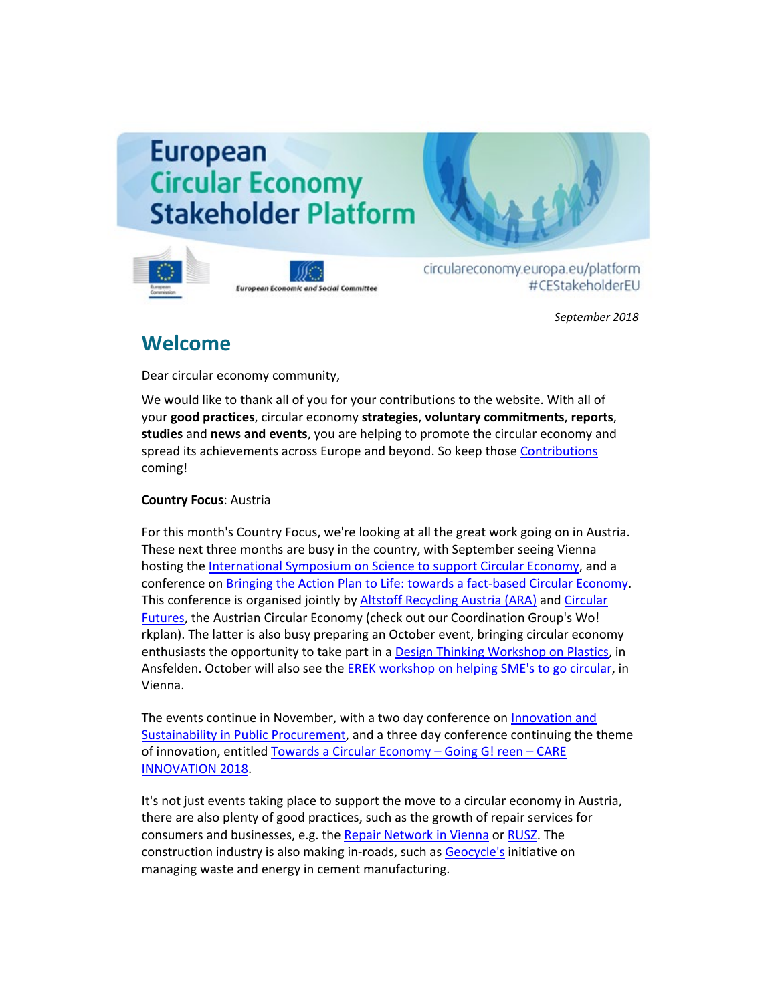# **European Circular Economy Stakeholder Platform**



**European Economic and Social Committee** 

circulareconomy.europa.eu/platform #CEStakeholderEU

*September 2018*

# **Welcome**

Dear circular economy community,

We would like to thank all of you for your contributions to the website. With all of your **good practices**, circular economy **strategies**, **voluntary commitments**, **reports**, **studies** and **news and events**, you are helping to promote the circular economy and spread its achievements across Europe and beyond. So keep thos[e Contributions](http://cdlink.eesc.europa.eu/l/7b9517f1ef074600a2b968b4b18b54e7/C5F02594/A6ECA3D8/092018n) coming!

### **Country Focus**: Austria

For this month's Country Focus, we're looking at all the great work going on in Austria. These next three months are busy in the country, with September seeing Vienna hosting th[e International Symposium on Science to support Circular Economy,](http://cdlink.eesc.europa.eu/l/7b9517f1ef074600a2b968b4b18b54e7/C5F02594/FEB7EB5F/092018n) and a conference o[n Bringing the Action Plan to Life: towards a fact-based Circular Economy.](http://cdlink.eesc.europa.eu/l/7b9517f1ef074600a2b968b4b18b54e7/C5F02594/86EADE27/092018n) This conference is organised jointly by [Altstoff Recycling Austria \(ARA\)](http://cdlink.eesc.europa.eu/l/7b9517f1ef074600a2b968b4b18b54e7/C5F02594/90F92592/092018n) and [Circular](http://cdlink.eesc.europa.eu/l/7b9517f1ef074600a2b968b4b18b54e7/C5F02594/E65317F4/092018n)  [Futures,](http://cdlink.eesc.europa.eu/l/7b9517f1ef074600a2b968b4b18b54e7/C5F02594/E65317F4/092018n) the Austrian Circular Economy (check out our Coordination Group's Wo! rkplan). The latter is also busy preparing an October event, bringing circular economy enthusiasts the opportunity to take part in a [Design Thinking Workshop on Plastics,](http://cdlink.eesc.europa.eu/l/7b9517f1ef074600a2b968b4b18b54e7/C5F02594/A72F5A9C/092018n) in Ansfelden. October will also see the [EREK workshop on helping SME's to go circular,](http://cdlink.eesc.europa.eu/l/7b9517f1ef074600a2b968b4b18b54e7/C5F02594/EFFDD2B3/092018n) in Vienna.

The events continue in November, with a two day conference on [Innovation and](http://cdlink.eesc.europa.eu/l/7b9517f1ef074600a2b968b4b18b54e7/C5F02594/1D7CBC3D/092018n)  [Sustainability in Public Procurement,](http://cdlink.eesc.europa.eu/l/7b9517f1ef074600a2b968b4b18b54e7/C5F02594/1D7CBC3D/092018n) and a three day conference continuing the theme of innovation, entitled [Towards a Circular Economy –](http://cdlink.eesc.europa.eu/l/7b9517f1ef074600a2b968b4b18b54e7/C5F02594/7E3EC925/092018n) Going G! reen – CARE [INNOVATION 2018.](http://cdlink.eesc.europa.eu/l/7b9517f1ef074600a2b968b4b18b54e7/C5F02594/7E3EC925/092018n)

It's not just events taking place to support the move to a circular economy in Austria, there are also plenty of good practices, such as the growth of repair services for consumers and businesses, e.g. th[e Repair Network in Vienna](http://cdlink.eesc.europa.eu/l/7b9517f1ef074600a2b968b4b18b54e7/C5F02594/6DD7E444/092018n) o[r RUSZ.](http://cdlink.eesc.europa.eu/l/7b9517f1ef074600a2b968b4b18b54e7/C5F02594/88470F02/092018n) The construction industry is also making in-roads, such as [Geocycle's](http://cdlink.eesc.europa.eu/l/7b9517f1ef074600a2b968b4b18b54e7/C5F02594/33BFBA92/092018n) initiative on managing waste and energy in cement manufacturing.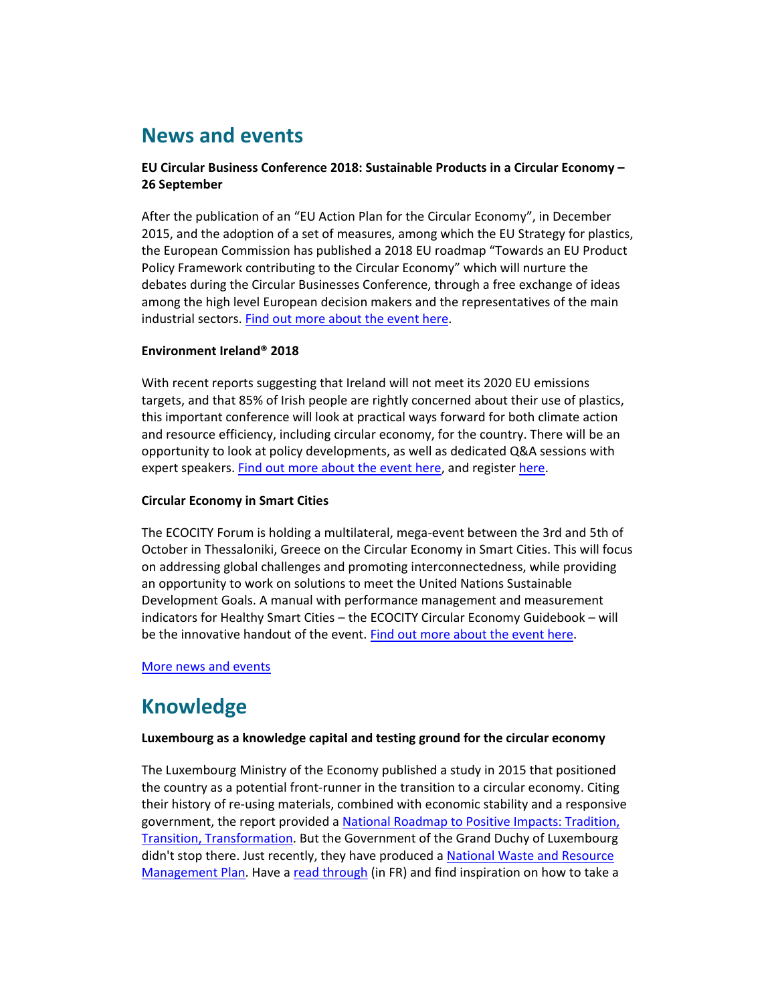# **News and events**

### **EU Circular Business Conference 2018: Sustainable Products in a Circular Economy – 26 September**

After the publication of an "EU Action Plan for the Circular Economy", in December 2015, and the adoption of a set of measures, among which the EU Strategy for plastics, the European Commission has published a 2018 EU roadmap "Towards an EU Product Policy Framework contributing to the Circular Economy" which will nurture the debates during the Circular Businesses Conference, through a free exchange of ideas among the high level European decision makers and the representatives of the main industrial sectors[. Find out more about the event here.](http://cdlink.eesc.europa.eu/l/7b9517f1ef074600a2b968b4b18b54e7/C5F02594/8567B876/092018n)

#### **Environment Ireland® 2018**

With recent reports suggesting that Ireland will not meet its 2020 EU emissions targets, and that 85% of Irish people are rightly concerned about their use of plastics, this important conference will look at practical ways forward for both climate action and resource efficiency, including circular economy, for the country. There will be an opportunity to look at policy developments, as well as dedicated Q&A sessions with expert speakers. [Find out more about the event here,](http://cdlink.eesc.europa.eu/l/7b9517f1ef074600a2b968b4b18b54e7/C5F02594/56F2A70F/092018n) and registe[r here.](http://cdlink.eesc.europa.eu/l/7b9517f1ef074600a2b968b4b18b54e7/C5F02594/3E8A092F/092018n)

#### **Circular Economy in Smart Cities**

The ECOCITY Forum is holding a multilateral, mega-event between the 3rd and 5th of October in Thessaloniki, Greece on the Circular Economy in Smart Cities. This will focus on addressing global challenges and promoting interconnectedness, while providing an opportunity to work on solutions to meet the United Nations Sustainable Development Goals. A manual with performance management and measurement indicators for Healthy Smart Cities – the ECOCITY Circular Economy Guidebook – will be the innovative handout of the event. [Find out more about the event here.](http://cdlink.eesc.europa.eu/l/7b9517f1ef074600a2b968b4b18b54e7/C5F02594/C1CC17D6/092018n)

#### [More news and events](http://cdlink.eesc.europa.eu/l/7b9517f1ef074600a2b968b4b18b54e7/C5F02594/389E9A9D/092018n)

# **Knowledge**

#### **Luxembourg as a knowledge capital and testing ground for the circular economy**

The Luxembourg Ministry of the Economy published a study in 2015 that positioned the country as a potential front-runner in the transition to a circular economy. Citing their history of re-using materials, combined with economic stability and a responsive government, the report provided a [National Roadmap to Positive Impacts: Tradition,](http://cdlink.eesc.europa.eu/l/7b9517f1ef074600a2b968b4b18b54e7/C5F02594/AEB78210/092018n)  [Transition, Transformation.](http://cdlink.eesc.europa.eu/l/7b9517f1ef074600a2b968b4b18b54e7/C5F02594/AEB78210/092018n) But the Government of the Grand Duchy of Luxembourg didn't stop there. Just recently, they have produced [a National Waste and Resource](http://cdlink.eesc.europa.eu/l/7b9517f1ef074600a2b968b4b18b54e7/C5F02594/F9C5E924/092018n)  [Management Plan.](http://cdlink.eesc.europa.eu/l/7b9517f1ef074600a2b968b4b18b54e7/C5F02594/F9C5E924/092018n) Have [a read through](http://cdlink.eesc.europa.eu/l/7b9517f1ef074600a2b968b4b18b54e7/C5F02594/EC39EDB1/092018n) (in FR) and find inspiration on how to take a